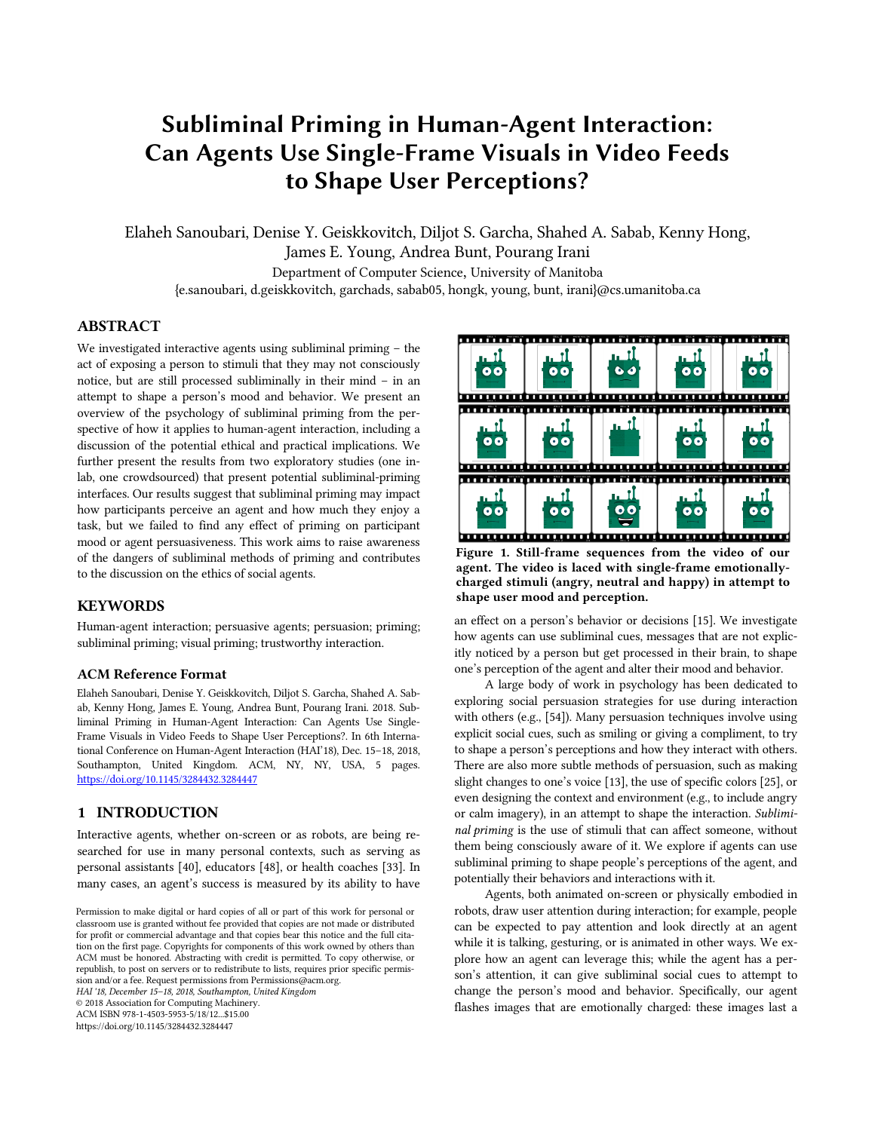# Subliminal Priming in Human-Agent Interaction: Can Agents Use Single-Frame Visuals in Video Feeds to Shape User Perceptions?

Elaheh Sanoubari, Denise Y. Geiskkovitch, Diljot S. Garcha, Shahed A. Sabab, Kenny Hong,

James E. Young, Andrea Bunt, Pourang Irani

Department of Computer Science, University of Manitoba

{e.sanoubari, d.geiskkovitch, garchads, sabab05, hongk, young, bunt, irani}@cs.umanitoba.ca

# ABSTRACT

We investigated interactive agents using subliminal priming – the act of exposing a person to stimuli that they may not consciously notice, but are still processed subliminally in their mind – in an attempt to shape a person's mood and behavior. We present an overview of the psychology of subliminal priming from the perspective of how it applies to human-agent interaction, including a discussion of the potential ethical and practical implications. We further present the results from two exploratory studies (one inlab, one crowdsourced) that present potential subliminal-priming interfaces. Our results suggest that subliminal priming may impact how participants perceive an agent and how much they enjoy a task, but we failed to find any effect of priming on participant mood or agent persuasiveness. This work aims to raise awareness of the dangers of subliminal methods of priming and contributes to the discussion on the ethics of social agents.

#### KEYWORDS

Human-agent interaction; persuasive agents; persuasion; priming; subliminal priming; visual priming; trustworthy interaction.

## ACM Reference Format

Elaheh Sanoubari, Denise Y. Geiskkovitch, Diljot S. Garcha, Shahed A. Sabab, Kenny Hong, James E. Young, Andrea Bunt, Pourang Irani. 2018. Subliminal Priming in Human-Agent Interaction: Can Agents Use Single-Frame Visuals in Video Feeds to Shape User Perceptions?. In 6th International Conference on Human-Agent Interaction (HAI'18), Dec. 15–18, 2018, Southampton, United Kingdom. ACM, NY, NY, USA, 5 pages. <https://doi.org/10.1145/3284432.3284447>

#### 1 INTRODUCTION

Interactive agents, whether on-screen or as robots, are being researched for use in many personal contexts, such as serving as personal assistants [40], educators [48], or health coaches [33]. In many cases, an agent's success is measured by its ability to have



Figure 1. Still-frame sequences from the video of our agent. The video is laced with single-frame emotionallycharged stimuli (angry, neutral and happy) in attempt to shape user mood and perception.

an effect on a person's behavior or decisions [15]. We investigate how agents can use subliminal cues, messages that are not explicitly noticed by a person but get processed in their brain, to shape one's perception of the agent and alter their mood and behavior.

A large body of work in psychology has been dedicated to exploring social persuasion strategies for use during interaction with others (e.g., [54]). Many persuasion techniques involve using explicit social cues, such as smiling or giving a compliment, to try to shape a person's perceptions and how they interact with others. There are also more subtle methods of persuasion, such as making slight changes to one's voice [13], the use of specific colors [25], or even designing the context and environment (e.g., to include angry or calm imagery), in an attempt to shape the interaction. *Subliminal priming* is the use of stimuli that can affect someone, without them being consciously aware of it. We explore if agents can use subliminal priming to shape people's perceptions of the agent, and potentially their behaviors and interactions with it.

Agents, both animated on-screen or physically embodied in robots, draw user attention during interaction; for example, people can be expected to pay attention and look directly at an agent while it is talking, gesturing, or is animated in other ways. We explore how an agent can leverage this; while the agent has a person's attention, it can give subliminal social cues to attempt to change the person's mood and behavior. Specifically, our agent flashes images that are emotionally charged: these images last a

Permission to make digital or hard copies of all or part of this work for personal or classroom use is granted without fee provided that copies are not made or distributed for profit or commercial advantage and that copies bear this notice and the full citation on the first page. Copyrights for components of this work owned by others than ACM must be honored. Abstracting with credit is permitted. To copy otherwise, or republish, to post on servers or to redistribute to lists, requires prior specific permission and/or a fee. Request permissions from Permissions@acm.org. *HAI '18, December 15–18, 2018, Southampton, United Kingdom*  © 2018 Association for Computing Machinery. ACM ISBN 978-1-4503-5953-5/18/12...\$15.00 https://doi.org/10.1145/3284432.3284447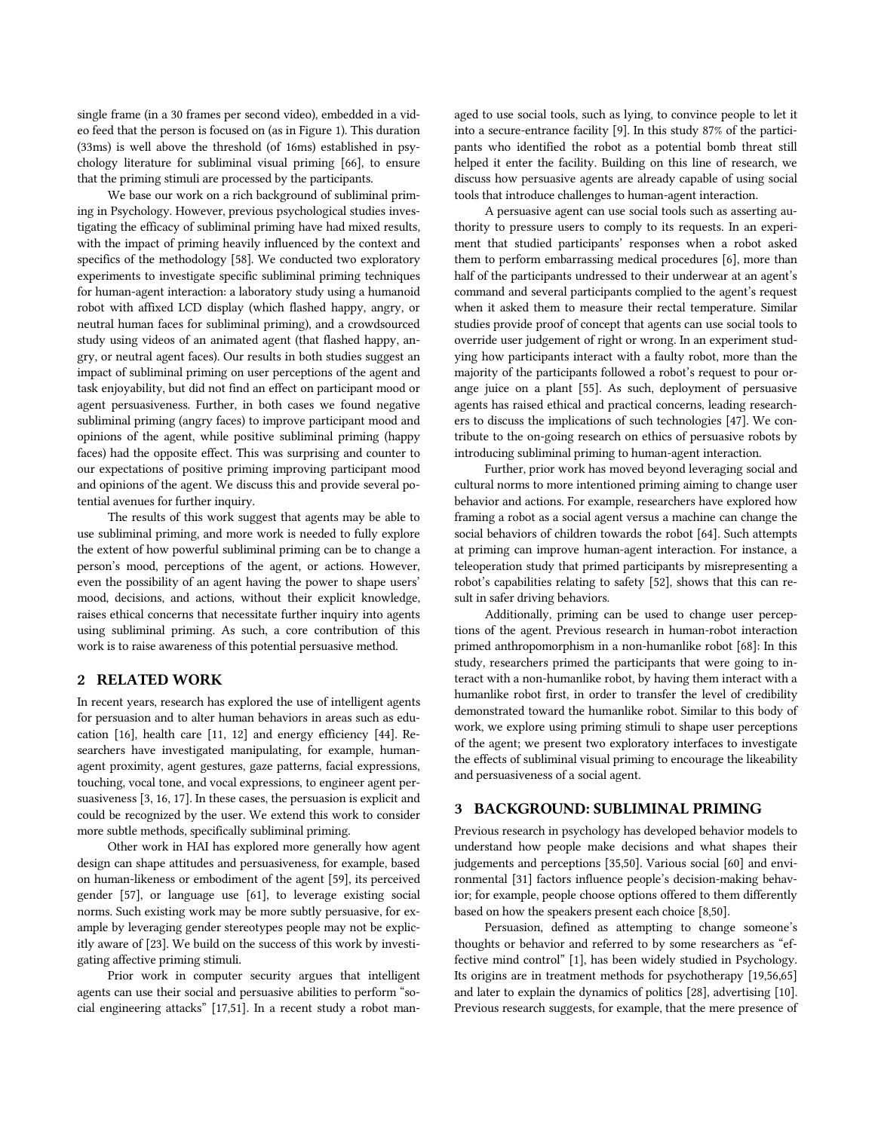single frame (in a 30 frames per second video), embedded in a video feed that the person is focused on (as in Figure 1). This duration (33ms) is well above the threshold (of 16ms) established in psychology literature for subliminal visual priming [66], to ensure that the priming stimuli are processed by the participants.

We base our work on a rich background of subliminal priming in Psychology. However, previous psychological studies investigating the efficacy of subliminal priming have had mixed results, with the impact of priming heavily influenced by the context and specifics of the methodology [58]. We conducted two exploratory experiments to investigate specific subliminal priming techniques for human-agent interaction: a laboratory study using a humanoid robot with affixed LCD display (which flashed happy, angry, or neutral human faces for subliminal priming), and a crowdsourced study using videos of an animated agent (that flashed happy, angry, or neutral agent faces). Our results in both studies suggest an impact of subliminal priming on user perceptions of the agent and task enjoyability, but did not find an effect on participant mood or agent persuasiveness. Further, in both cases we found negative subliminal priming (angry faces) to improve participant mood and opinions of the agent, while positive subliminal priming (happy faces) had the opposite effect. This was surprising and counter to our expectations of positive priming improving participant mood and opinions of the agent. We discuss this and provide several potential avenues for further inquiry.

The results of this work suggest that agents may be able to use subliminal priming, and more work is needed to fully explore the extent of how powerful subliminal priming can be to change a person's mood, perceptions of the agent, or actions. However, even the possibility of an agent having the power to shape users' mood, decisions, and actions, without their explicit knowledge, raises ethical concerns that necessitate further inquiry into agents using subliminal priming. As such, a core contribution of this work is to raise awareness of this potential persuasive method.

# 2 RELATED WORK

In recent years, research has explored the use of intelligent agents for persuasion and to alter human behaviors in areas such as education [16], health care [11, 12] and energy efficiency [44]. Researchers have investigated manipulating, for example, humanagent proximity, agent gestures, gaze patterns, facial expressions, touching, vocal tone, and vocal expressions, to engineer agent persuasiveness [3, 16, 17]. In these cases, the persuasion is explicit and could be recognized by the user. We extend this work to consider more subtle methods, specifically subliminal priming.

Other work in HAI has explored more generally how agent design can shape attitudes and persuasiveness, for example, based on human-likeness or embodiment of the agent [59], its perceived gender [57], or language use [61], to leverage existing social norms. Such existing work may be more subtly persuasive, for example by leveraging gender stereotypes people may not be explicitly aware of [23]. We build on the success of this work by investigating affective priming stimuli.

Prior work in computer security argues that intelligent agents can use their social and persuasive abilities to perform "social engineering attacks" [17,51]. In a recent study a robot managed to use social tools, such as lying, to convince people to let it into a secure-entrance facility [9]. In this study 87% of the participants who identified the robot as a potential bomb threat still helped it enter the facility. Building on this line of research, we discuss how persuasive agents are already capable of using social tools that introduce challenges to human-agent interaction.

A persuasive agent can use social tools such as asserting authority to pressure users to comply to its requests. In an experiment that studied participants' responses when a robot asked them to perform embarrassing medical procedures [6], more than half of the participants undressed to their underwear at an agent's command and several participants complied to the agent's request when it asked them to measure their rectal temperature. Similar studies provide proof of concept that agents can use social tools to override user judgement of right or wrong. In an experiment studying how participants interact with a faulty robot, more than the majority of the participants followed a robot's request to pour orange juice on a plant [55]. As such, deployment of persuasive agents has raised ethical and practical concerns, leading researchers to discuss the implications of such technologies [47]. We contribute to the on-going research on ethics of persuasive robots by introducing subliminal priming to human-agent interaction.

Further, prior work has moved beyond leveraging social and cultural norms to more intentioned priming aiming to change user behavior and actions. For example, researchers have explored how framing a robot as a social agent versus a machine can change the social behaviors of children towards the robot [64]. Such attempts at priming can improve human-agent interaction. For instance, a teleoperation study that primed participants by misrepresenting a robot's capabilities relating to safety [52], shows that this can result in safer driving behaviors.

Additionally, priming can be used to change user perceptions of the agent. Previous research in human-robot interaction primed anthropomorphism in a non-humanlike robot [68]: In this study, researchers primed the participants that were going to interact with a non-humanlike robot, by having them interact with a humanlike robot first, in order to transfer the level of credibility demonstrated toward the humanlike robot. Similar to this body of work, we explore using priming stimuli to shape user perceptions of the agent; we present two exploratory interfaces to investigate the effects of subliminal visual priming to encourage the likeability and persuasiveness of a social agent.

## 3 BACKGROUND: SUBLIMINAL PRIMING

Previous research in psychology has developed behavior models to understand how people make decisions and what shapes their judgements and perceptions [35,50]. Various social [60] and environmental [31] factors influence people's decision-making behavior; for example, people choose options offered to them differently based on how the speakers present each choice [8,50].

Persuasion, defined as attempting to change someone's thoughts or behavior and referred to by some researchers as "effective mind control" [1], has been widely studied in Psychology. Its origins are in treatment methods for psychotherapy [19,56,65] and later to explain the dynamics of politics [28], advertising [10]. Previous research suggests, for example, that the mere presence of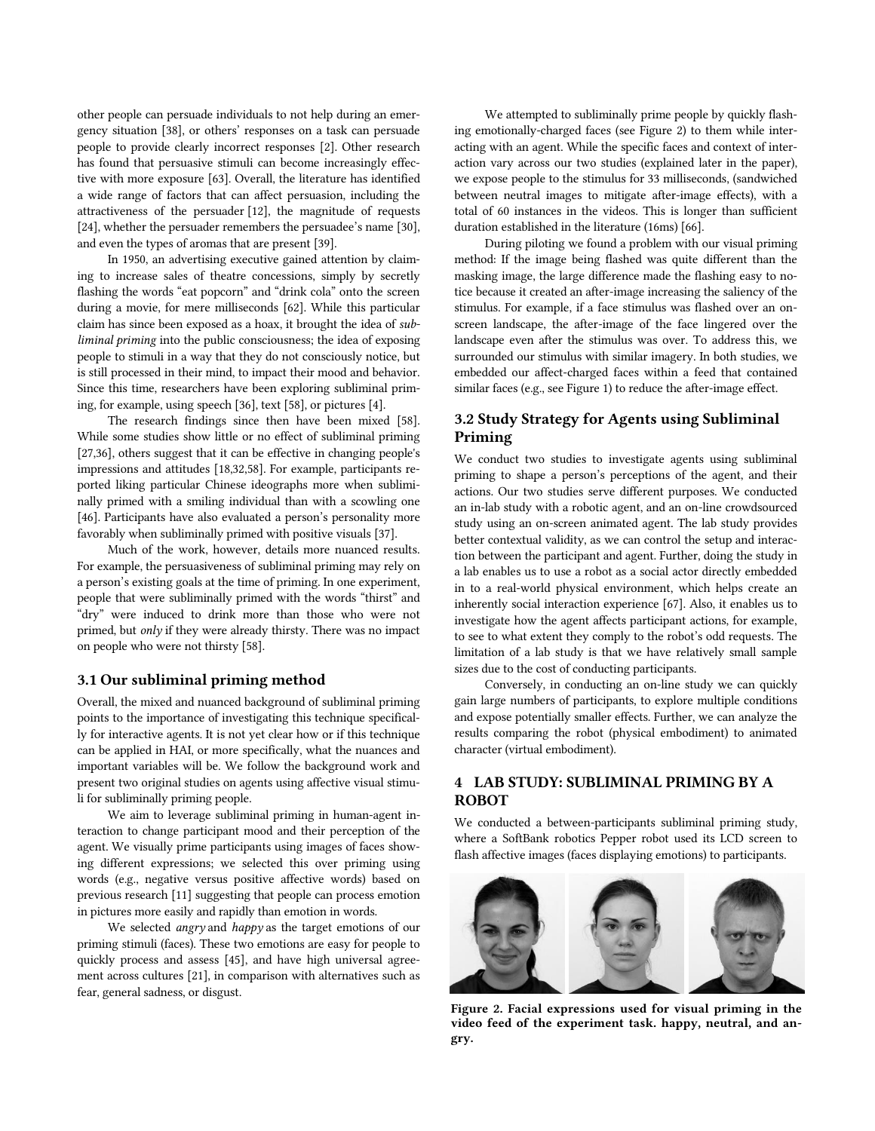other people can persuade individuals to not help during an emergency situation [38], or others' responses on a task can persuade people to provide clearly incorrect responses [2]. Other research has found that persuasive stimuli can become increasingly effective with more exposure [63]. Overall, the literature has identified a wide range of factors that can affect persuasion, including the attractiveness of the persuader [12], the magnitude of requests [24], whether the persuader remembers the persuadee's name [30], and even the types of aromas that are present [39].

In 1950, an advertising executive gained attention by claiming to increase sales of theatre concessions, simply by secretly flashing the words "eat popcorn" and "drink cola" onto the screen during a movie, for mere milliseconds [62]. While this particular claim has since been exposed as a hoax, it brought the idea of *subliminal priming* into the public consciousness; the idea of exposing people to stimuli in a way that they do not consciously notice, but is still processed in their mind, to impact their mood and behavior. Since this time, researchers have been exploring subliminal priming, for example, using speech [36], text [58], or pictures [4].

The research findings since then have been mixed [58]. While some studies show little or no effect of subliminal priming [27,36], others suggest that it can be effective in changing people's impressions and attitudes [18,32,58]. For example, participants reported liking particular Chinese ideographs more when subliminally primed with a smiling individual than with a scowling one [46]. Participants have also evaluated a person's personality more favorably when subliminally primed with positive visuals [37].

Much of the work, however, details more nuanced results. For example, the persuasiveness of subliminal priming may rely on a person's existing goals at the time of priming. In one experiment, people that were subliminally primed with the words "thirst" and "dry" were induced to drink more than those who were not primed, but *only* if they were already thirsty. There was no impact on people who were not thirsty [58].

#### 3.1 Our subliminal priming method

Overall, the mixed and nuanced background of subliminal priming points to the importance of investigating this technique specifically for interactive agents. It is not yet clear how or if this technique can be applied in HAI, or more specifically, what the nuances and important variables will be. We follow the background work and present two original studies on agents using affective visual stimuli for subliminally priming people.

We aim to leverage subliminal priming in human-agent interaction to change participant mood and their perception of the agent. We visually prime participants using images of faces showing different expressions; we selected this over priming using words (e.g., negative versus positive affective words) based on previous research [11] suggesting that people can process emotion in pictures more easily and rapidly than emotion in words.

We selected *angry* and *happy* as the target emotions of our priming stimuli (faces). These two emotions are easy for people to quickly process and assess [45], and have high universal agreement across cultures [21], in comparison with alternatives such as fear, general sadness, or disgust.

We attempted to subliminally prime people by quickly flashing emotionally-charged faces (see Figure 2) to them while interacting with an agent. While the specific faces and context of interaction vary across our two studies (explained later in the paper), we expose people to the stimulus for 33 milliseconds, (sandwiched between neutral images to mitigate after-image effects), with a total of 60 instances in the videos. This is longer than sufficient duration established in the literature (16ms) [66].

During piloting we found a problem with our visual priming method: If the image being flashed was quite different than the masking image, the large difference made the flashing easy to notice because it created an after-image increasing the saliency of the stimulus. For example, if a face stimulus was flashed over an onscreen landscape, the after-image of the face lingered over the landscape even after the stimulus was over. To address this, we surrounded our stimulus with similar imagery. In both studies, we embedded our affect-charged faces within a feed that contained similar faces (e.g., see Figure 1) to reduce the after-image effect.

# 3.2 Study Strategy for Agents using Subliminal Priming

We conduct two studies to investigate agents using subliminal priming to shape a person's perceptions of the agent, and their actions. Our two studies serve different purposes. We conducted an in-lab study with a robotic agent, and an on-line crowdsourced study using an on-screen animated agent. The lab study provides better contextual validity, as we can control the setup and interaction between the participant and agent. Further, doing the study in a lab enables us to use a robot as a social actor directly embedded in to a real-world physical environment, which helps create an inherently social interaction experience [67]. Also, it enables us to investigate how the agent affects participant actions, for example, to see to what extent they comply to the robot's odd requests. The limitation of a lab study is that we have relatively small sample sizes due to the cost of conducting participants.

Conversely, in conducting an on-line study we can quickly gain large numbers of participants, to explore multiple conditions and expose potentially smaller effects. Further, we can analyze the results comparing the robot (physical embodiment) to animated character (virtual embodiment).

# 4 LAB STUDY: SUBLIMINAL PRIMING BY A ROBOT

We conducted a between-participants subliminal priming study, where a SoftBank robotics Pepper robot used its LCD screen to flash affective images (faces displaying emotions) to participants.



Figure 2. Facial expressions used for visual priming in the video feed of the experiment task. happy, neutral, and angry.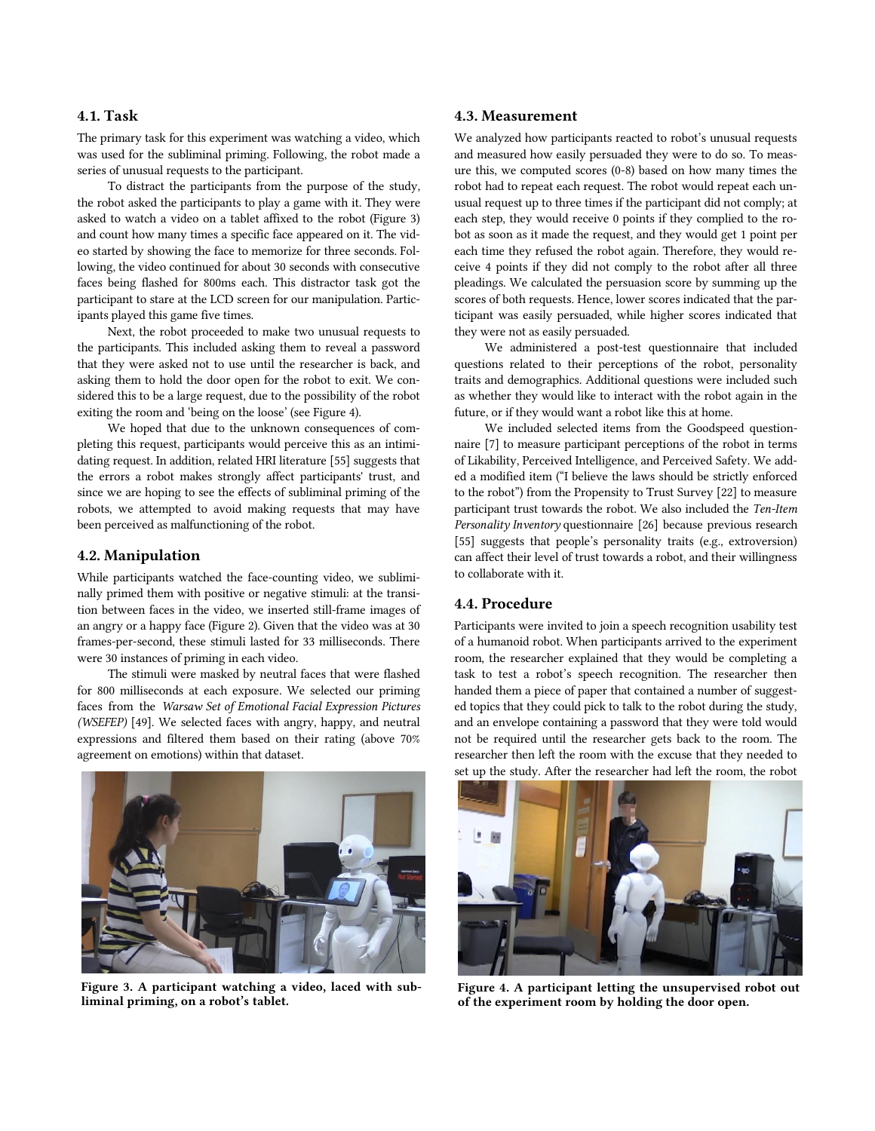## 4.1. Task

The primary task for this experiment was watching a video, which was used for the subliminal priming. Following, the robot made a series of unusual requests to the participant.

To distract the participants from the purpose of the study, the robot asked the participants to play a game with it. They were asked to watch a video on a tablet affixed to the robot (Figure 3) and count how many times a specific face appeared on it. The video started by showing the face to memorize for three seconds. Following, the video continued for about 30 seconds with consecutive faces being flashed for 800ms each. This distractor task got the participant to stare at the LCD screen for our manipulation. Participants played this game five times.

Next, the robot proceeded to make two unusual requests to the participants. This included asking them to reveal a password that they were asked not to use until the researcher is back, and asking them to hold the door open for the robot to exit. We considered this to be a large request, due to the possibility of the robot exiting the room and 'being on the loose' (see Figure 4).

We hoped that due to the unknown consequences of completing this request, participants would perceive this as an intimidating request. In addition, related HRI literature [55] suggests that the errors a robot makes strongly affect participants' trust, and since we are hoping to see the effects of subliminal priming of the robots, we attempted to avoid making requests that may have been perceived as malfunctioning of the robot.

#### 4.2. Manipulation

While participants watched the face-counting video, we subliminally primed them with positive or negative stimuli: at the transition between faces in the video, we inserted still-frame images of an angry or a happy face (Figure 2). Given that the video was at 30 frames-per-second, these stimuli lasted for 33 milliseconds. There were 30 instances of priming in each video.

The stimuli were masked by neutral faces that were flashed for 800 milliseconds at each exposure. We selected our priming faces from the *Warsaw Set of Emotional Facial Expression Pictures (WSEFEP)* [49]. We selected faces with angry, happy, and neutral expressions and filtered them based on their rating (above 70% agreement on emotions) within that dataset.



Figure 3. A participant watching a video, laced with subliminal priming, on a robot's tablet.

## 4.3. Measurement

We analyzed how participants reacted to robot's unusual requests and measured how easily persuaded they were to do so. To measure this, we computed scores (0-8) based on how many times the robot had to repeat each request. The robot would repeat each unusual request up to three times if the participant did not comply; at each step, they would receive 0 points if they complied to the robot as soon as it made the request, and they would get 1 point per each time they refused the robot again. Therefore, they would receive 4 points if they did not comply to the robot after all three pleadings. We calculated the persuasion score by summing up the scores of both requests. Hence, lower scores indicated that the participant was easily persuaded, while higher scores indicated that they were not as easily persuaded.

We administered a post-test questionnaire that included questions related to their perceptions of the robot, personality traits and demographics. Additional questions were included such as whether they would like to interact with the robot again in the future, or if they would want a robot like this at home.

We included selected items from the Goodspeed questionnaire [7] to measure participant perceptions of the robot in terms of Likability, Perceived Intelligence, and Perceived Safety. We added a modified item ("I believe the laws should be strictly enforced to the robot") from the Propensity to Trust Survey [22] to measure participant trust towards the robot. We also included the *Ten-Item Personality Inventory* questionnaire [26] because previous research [55] suggests that people's personality traits (e.g., extroversion) can affect their level of trust towards a robot, and their willingness to collaborate with it.

# 4.4. Procedure

Participants were invited to join a speech recognition usability test of a humanoid robot. When participants arrived to the experiment room, the researcher explained that they would be completing a task to test a robot's speech recognition. The researcher then handed them a piece of paper that contained a number of suggested topics that they could pick to talk to the robot during the study, and an envelope containing a password that they were told would not be required until the researcher gets back to the room. The researcher then left the room with the excuse that they needed to set up the study. After the researcher had left the room, the robot



Figure 4. A participant letting the unsupervised robot out of the experiment room by holding the door open.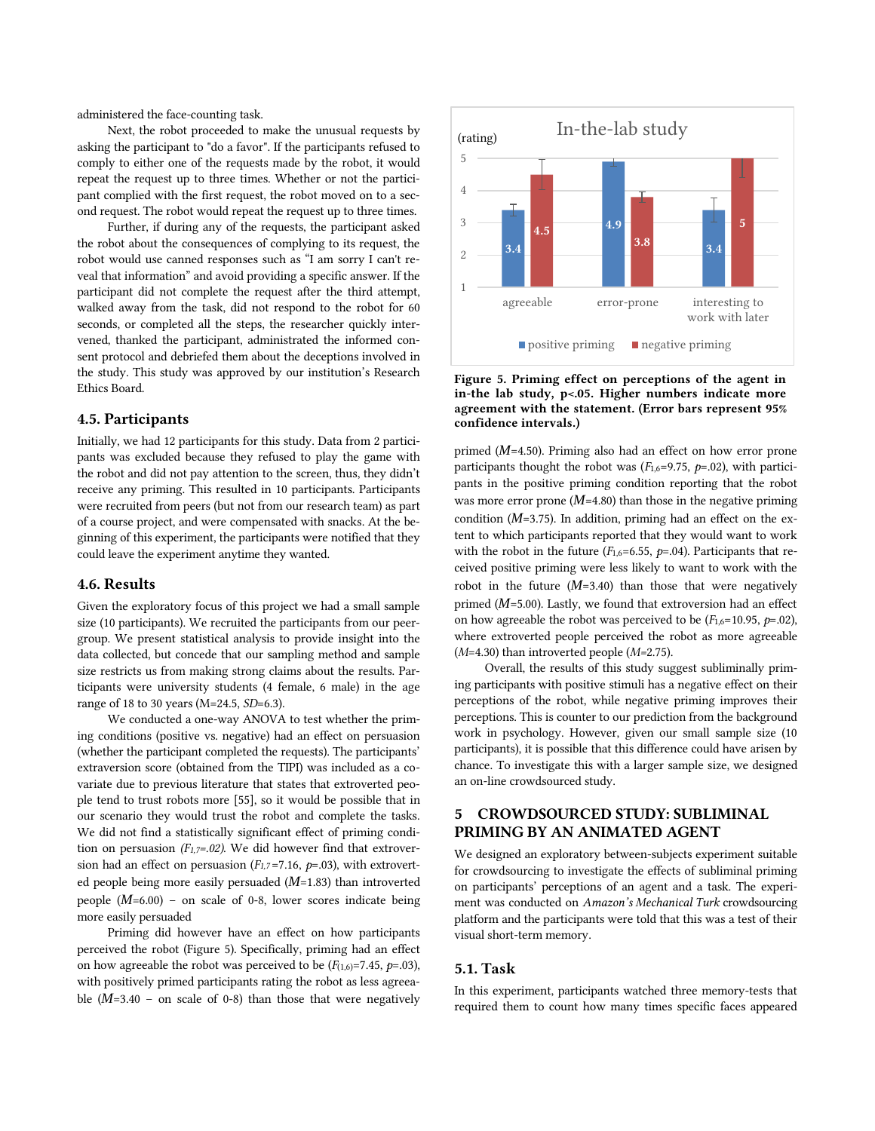administered the face-counting task.

Next, the robot proceeded to make the unusual requests by asking the participant to "do a favor". If the participants refused to comply to either one of the requests made by the robot, it would repeat the request up to three times. Whether or not the participant complied with the first request, the robot moved on to a second request. The robot would repeat the request up to three times.

Further, if during any of the requests, the participant asked the robot about the consequences of complying to its request, the robot would use canned responses such as "I am sorry I can't reveal that information" and avoid providing a specific answer. If the participant did not complete the request after the third attempt, walked away from the task, did not respond to the robot for 60 seconds, or completed all the steps, the researcher quickly intervened, thanked the participant, administrated the informed consent protocol and debriefed them about the deceptions involved in the study. This study was approved by our institution's Research Ethics Board.

#### 4.5. Participants

Initially, we had 12 participants for this study. Data from 2 participants was excluded because they refused to play the game with the robot and did not pay attention to the screen, thus, they didn't receive any priming. This resulted in 10 participants. Participants were recruited from peers (but not from our research team) as part of a course project, and were compensated with snacks. At the beginning of this experiment, the participants were notified that they could leave the experiment anytime they wanted.

#### 4.6. Results

Given the exploratory focus of this project we had a small sample size (10 participants). We recruited the participants from our peergroup. We present statistical analysis to provide insight into the data collected, but concede that our sampling method and sample size restricts us from making strong claims about the results. Participants were university students (4 female, 6 male) in the age range of 18 to 30 years (M=24.5, *SD*=6.3).

We conducted a one-way ANOVA to test whether the priming conditions (positive vs. negative) had an effect on persuasion (whether the participant completed the requests). The participants' extraversion score (obtained from the TIPI) was included as a covariate due to previous literature that states that extroverted people tend to trust robots more [55], so it would be possible that in our scenario they would trust the robot and complete the tasks. We did not find a statistically significant effect of priming condition on persuasion *(F1,7=.02)*. We did however find that extroversion had an effect on persuasion (*F1,7* =7.16, *p*=.03), with extroverted people being more easily persuaded (*M*=1.83) than introverted people (*M*=6.00) – on scale of 0-8, lower scores indicate being more easily persuaded

Priming did however have an effect on how participants perceived the robot (Figure 5). Specifically, priming had an effect on how agreeable the robot was perceived to be  $(F_{(1,6)}=7.45, p=.03)$ , with positively primed participants rating the robot as less agreeable  $(M=3.40 -$  on scale of 0-8) than those that were negatively



Figure 5. Priming effect on perceptions of the agent in in-the lab study, p<.05. Higher numbers indicate more agreement with the statement. (Error bars represent 95% confidence intervals.)

primed (*M*=4.50). Priming also had an effect on how error prone participants thought the robot was  $(F_{1,6}=9.75, p=.02)$ , with participants in the positive priming condition reporting that the robot was more error prone  $(M=4.80)$  than those in the negative priming condition (*M*=3.75). In addition, priming had an effect on the extent to which participants reported that they would want to work with the robot in the future  $(F_{1,6}=6.55, p=.04)$ . Participants that received positive priming were less likely to want to work with the robot in the future (*M*=3.40) than those that were negatively primed (*M*=5.00). Lastly, we found that extroversion had an effect on how agreeable the robot was perceived to be  $(F_{1,6}=10.95, p=.02)$ , where extroverted people perceived the robot as more agreeable (*M*=4.30) than introverted people (*M=*2.75).

Overall, the results of this study suggest subliminally priming participants with positive stimuli has a negative effect on their perceptions of the robot, while negative priming improves their perceptions. This is counter to our prediction from the background work in psychology. However, given our small sample size (10 participants), it is possible that this difference could have arisen by chance. To investigate this with a larger sample size, we designed an on-line crowdsourced study.

# 5 CROWDSOURCED STUDY: SUBLIMINAL PRIMING BY AN ANIMATED AGENT

We designed an exploratory between-subjects experiment suitable for crowdsourcing to investigate the effects of subliminal priming on participants' perceptions of an agent and a task. The experiment was conducted on *Amazon's Mechanical Turk* crowdsourcing platform and the participants were told that this was a test of their visual short-term memory.

#### 5.1. Task

In this experiment, participants watched three memory-tests that required them to count how many times specific faces appeared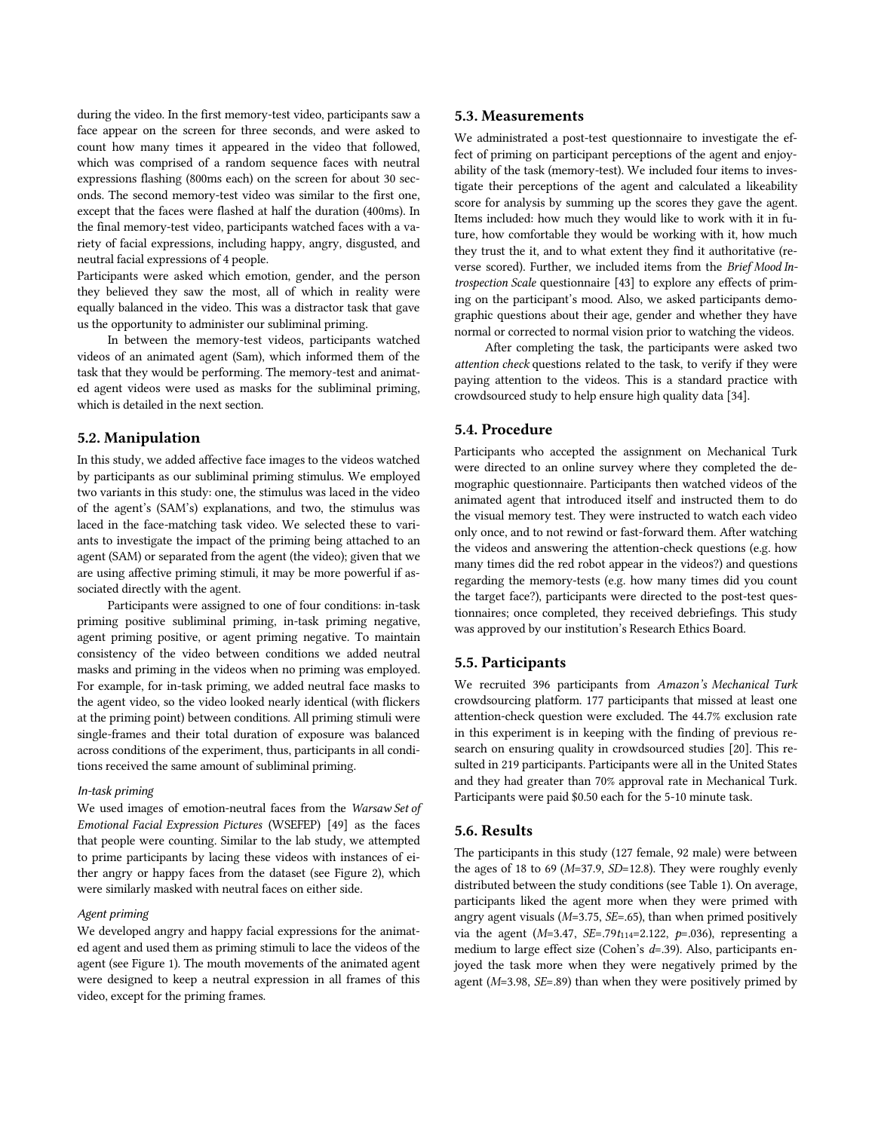during the video. In the first memory-test video, participants saw a face appear on the screen for three seconds, and were asked to count how many times it appeared in the video that followed, which was comprised of a random sequence faces with neutral expressions flashing (800ms each) on the screen for about 30 seconds. The second memory-test video was similar to the first one, except that the faces were flashed at half the duration (400ms). In the final memory-test video, participants watched faces with a variety of facial expressions, including happy, angry, disgusted, and neutral facial expressions of 4 people.

Participants were asked which emotion, gender, and the person they believed they saw the most, all of which in reality were equally balanced in the video. This was a distractor task that gave us the opportunity to administer our subliminal priming.

In between the memory-test videos, participants watched videos of an animated agent (Sam), which informed them of the task that they would be performing. The memory-test and animated agent videos were used as masks for the subliminal priming, which is detailed in the next section.

# 5.2. Manipulation

In this study, we added affective face images to the videos watched by participants as our subliminal priming stimulus. We employed two variants in this study: one, the stimulus was laced in the video of the agent's (SAM's) explanations, and two, the stimulus was laced in the face-matching task video. We selected these to variants to investigate the impact of the priming being attached to an agent (SAM) or separated from the agent (the video); given that we are using affective priming stimuli, it may be more powerful if associated directly with the agent.

Participants were assigned to one of four conditions: in-task priming positive subliminal priming, in-task priming negative, agent priming positive, or agent priming negative. To maintain consistency of the video between conditions we added neutral masks and priming in the videos when no priming was employed. For example, for in-task priming, we added neutral face masks to the agent video, so the video looked nearly identical (with flickers at the priming point) between conditions. All priming stimuli were single-frames and their total duration of exposure was balanced across conditions of the experiment, thus, participants in all conditions received the same amount of subliminal priming.

#### *In-task priming*

We used images of emotion-neutral faces from the *Warsaw Set of Emotional Facial Expression Pictures* (WSEFEP) [49] as the faces that people were counting. Similar to the lab study, we attempted to prime participants by lacing these videos with instances of either angry or happy faces from the dataset (see Figure 2), which were similarly masked with neutral faces on either side*.*

#### *Agent priming*

We developed angry and happy facial expressions for the animated agent and used them as priming stimuli to lace the videos of the agent (see Figure 1). The mouth movements of the animated agent were designed to keep a neutral expression in all frames of this video, except for the priming frames.

#### 5.3. Measurements

We administrated a post-test questionnaire to investigate the effect of priming on participant perceptions of the agent and enjoyability of the task (memory-test). We included four items to investigate their perceptions of the agent and calculated a likeability score for analysis by summing up the scores they gave the agent. Items included: how much they would like to work with it in future, how comfortable they would be working with it, how much they trust the it, and to what extent they find it authoritative (reverse scored). Further, we included items from the *Brief Mood Introspection Scale* questionnaire [43] to explore any effects of priming on the participant's mood. Also, we asked participants demographic questions about their age, gender and whether they have normal or corrected to normal vision prior to watching the videos.

After completing the task, the participants were asked two *attention check* questions related to the task, to verify if they were paying attention to the videos. This is a standard practice with crowdsourced study to help ensure high quality data [34].

#### 5.4. Procedure

Participants who accepted the assignment on Mechanical Turk were directed to an online survey where they completed the demographic questionnaire. Participants then watched videos of the animated agent that introduced itself and instructed them to do the visual memory test. They were instructed to watch each video only once, and to not rewind or fast-forward them. After watching the videos and answering the attention-check questions (e.g. how many times did the red robot appear in the videos?) and questions regarding the memory-tests (e.g. how many times did you count the target face?), participants were directed to the post-test questionnaires; once completed, they received debriefings. This study was approved by our institution's Research Ethics Board.

#### 5.5. Participants

We recruited 396 participants from *Amazon's Mechanical Turk* crowdsourcing platform. 177 participants that missed at least one attention-check question were excluded. The 44.7% exclusion rate in this experiment is in keeping with the finding of previous research on ensuring quality in crowdsourced studies [20]. This resulted in 219 participants. Participants were all in the United States and they had greater than 70% approval rate in Mechanical Turk. Participants were paid \$0.50 each for the 5-10 minute task.

#### 5.6. Results

The participants in this study (127 female, 92 male) were between the ages of 18 to 69 (*M*=37.9, *SD*=12.8). They were roughly evenly distributed between the study conditions (see Table 1). On average, participants liked the agent more when they were primed with angry agent visuals (*M*=3.75, *SE*=.65), than when primed positively via the agent (*M*=3.47, *SE*=.79*t*114=2.122, *p*=.036), representing a medium to large effect size (Cohen's *d*=.39). Also, participants enjoyed the task more when they were negatively primed by the agent (*M*=3.98, *SE*=.89) than when they were positively primed by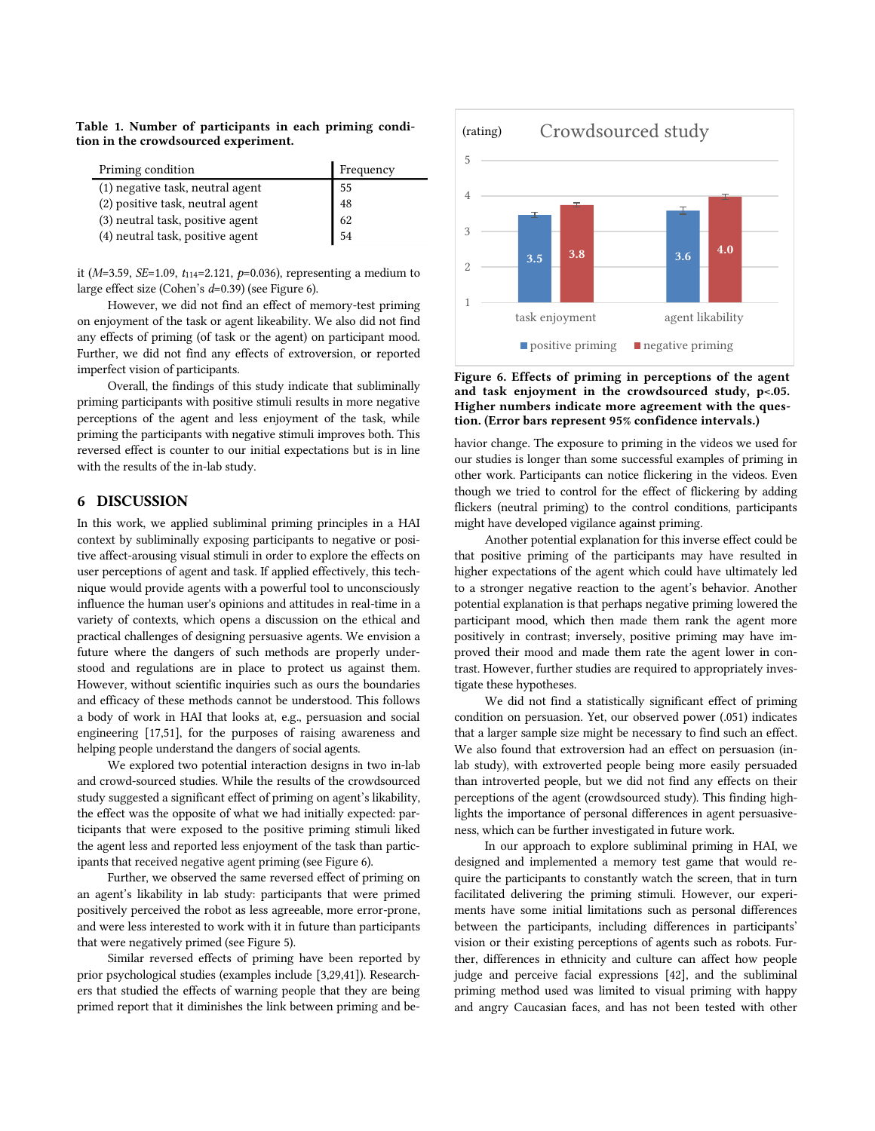Table 1. Number of participants in each priming condition in the crowdsourced experiment.

| Priming condition                | Frequency |
|----------------------------------|-----------|
| (1) negative task, neutral agent | 55        |
| (2) positive task, neutral agent | 48        |
| (3) neutral task, positive agent | 62        |
| (4) neutral task, positive agent | 54        |

it (*M*=3.59, *SE*=1.09, *t*114=2.121, *p*=0.036), representing a medium to large effect size (Cohen's *d*=0.39) (see Figure 6).

However, we did not find an effect of memory-test priming on enjoyment of the task or agent likeability. We also did not find any effects of priming (of task or the agent) on participant mood. Further, we did not find any effects of extroversion, or reported imperfect vision of participants.

Overall, the findings of this study indicate that subliminally priming participants with positive stimuli results in more negative perceptions of the agent and less enjoyment of the task, while priming the participants with negative stimuli improves both. This reversed effect is counter to our initial expectations but is in line with the results of the in-lab study.

# 6 DISCUSSION

In this work, we applied subliminal priming principles in a HAI context by subliminally exposing participants to negative or positive affect-arousing visual stimuli in order to explore the effects on user perceptions of agent and task. If applied effectively, this technique would provide agents with a powerful tool to unconsciously influence the human user's opinions and attitudes in real-time in a variety of contexts, which opens a discussion on the ethical and practical challenges of designing persuasive agents. We envision a future where the dangers of such methods are properly understood and regulations are in place to protect us against them. However, without scientific inquiries such as ours the boundaries and efficacy of these methods cannot be understood. This follows a body of work in HAI that looks at, e.g., persuasion and social engineering [17,51], for the purposes of raising awareness and helping people understand the dangers of social agents.

We explored two potential interaction designs in two in-lab and crowd-sourced studies. While the results of the crowdsourced study suggested a significant effect of priming on agent's likability, the effect was the opposite of what we had initially expected: participants that were exposed to the positive priming stimuli liked the agent less and reported less enjoyment of the task than participants that received negative agent priming (see Figure 6).

Further, we observed the same reversed effect of priming on an agent's likability in lab study: participants that were primed positively perceived the robot as less agreeable, more error-prone, and were less interested to work with it in future than participants that were negatively primed (see Figure 5).

Similar reversed effects of priming have been reported by prior psychological studies (examples include [3,29,41]). Researchers that studied the effects of warning people that they are being primed report that it diminishes the link between priming and be-



Figure 6. Effects of priming in perceptions of the agent and task enjoyment in the crowdsourced study, p<.05. Higher numbers indicate more agreement with the question. (Error bars represent 95% confidence intervals.)

havior change. The exposure to priming in the videos we used for our studies is longer than some successful examples of priming in other work. Participants can notice flickering in the videos. Even though we tried to control for the effect of flickering by adding flickers (neutral priming) to the control conditions, participants might have developed vigilance against priming.

Another potential explanation for this inverse effect could be that positive priming of the participants may have resulted in higher expectations of the agent which could have ultimately led to a stronger negative reaction to the agent's behavior. Another potential explanation is that perhaps negative priming lowered the participant mood, which then made them rank the agent more positively in contrast; inversely, positive priming may have improved their mood and made them rate the agent lower in contrast. However, further studies are required to appropriately investigate these hypotheses.

We did not find a statistically significant effect of priming condition on persuasion. Yet, our observed power (.051) indicates that a larger sample size might be necessary to find such an effect. We also found that extroversion had an effect on persuasion (inlab study), with extroverted people being more easily persuaded than introverted people, but we did not find any effects on their perceptions of the agent (crowdsourced study). This finding highlights the importance of personal differences in agent persuasiveness, which can be further investigated in future work.

In our approach to explore subliminal priming in HAI, we designed and implemented a memory test game that would require the participants to constantly watch the screen, that in turn facilitated delivering the priming stimuli. However, our experiments have some initial limitations such as personal differences between the participants, including differences in participants' vision or their existing perceptions of agents such as robots. Further, differences in ethnicity and culture can affect how people judge and perceive facial expressions [42], and the subliminal priming method used was limited to visual priming with happy and angry Caucasian faces, and has not been tested with other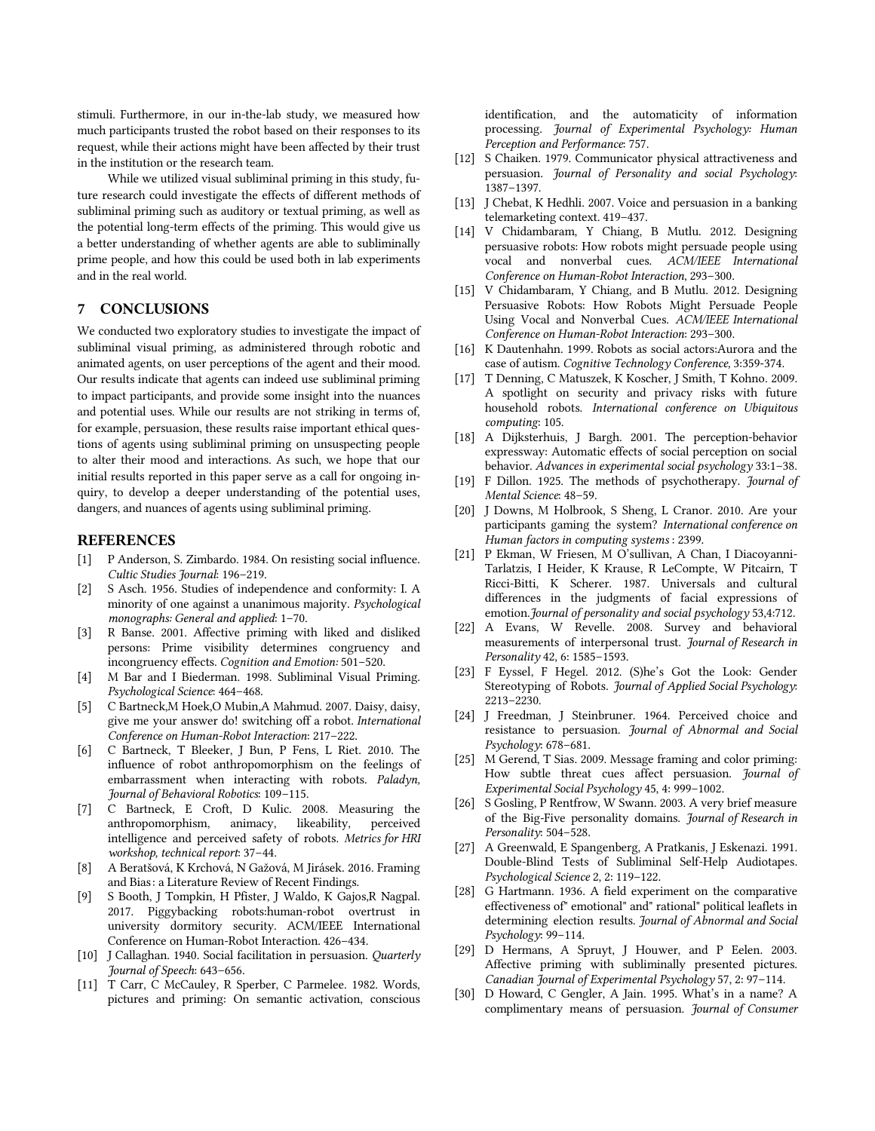stimuli. Furthermore, in our in-the-lab study, we measured how much participants trusted the robot based on their responses to its request, while their actions might have been affected by their trust in the institution or the research team.

While we utilized visual subliminal priming in this study, future research could investigate the effects of different methods of subliminal priming such as auditory or textual priming, as well as the potential long-term effects of the priming. This would give us a better understanding of whether agents are able to subliminally prime people, and how this could be used both in lab experiments and in the real world.

#### 7 CONCLUSIONS

We conducted two exploratory studies to investigate the impact of subliminal visual priming, as administered through robotic and animated agents, on user perceptions of the agent and their mood. Our results indicate that agents can indeed use subliminal priming to impact participants, and provide some insight into the nuances and potential uses. While our results are not striking in terms of, for example, persuasion, these results raise important ethical questions of agents using subliminal priming on unsuspecting people to alter their mood and interactions. As such, we hope that our initial results reported in this paper serve as a call for ongoing inquiry, to develop a deeper understanding of the potential uses, dangers, and nuances of agents using subliminal priming.

## **REFERENCES**

- [1] P Anderson, S. Zimbardo. 1984. On resisting social influence. *Cultic Studies Journal*: 196–219.
- [2] S Asch. 1956. Studies of independence and conformity: I. A minority of one against a unanimous majority. *Psychological monographs: General and applied*: 1–70.
- [3] R Banse. 2001. Affective priming with liked and disliked persons: Prime visibility determines congruency and incongruency effects. *Cognition and Emotion:* 501–520.
- [4] M Bar and I Biederman. 1998. Subliminal Visual Priming. *Psychological Science*: 464–468.
- [5] C Bartneck,M Hoek,O Mubin,A Mahmud. 2007. Daisy, daisy, give me your answer do! switching off a robot. *International Conference on Human-Robot Interaction*: 217–222.
- [6] C Bartneck, T Bleeker, J Bun, P Fens, L Riet. 2010. The influence of robot anthropomorphism on the feelings of embarrassment when interacting with robots. *Paladyn, Journal of Behavioral Robotics*: 109–115.
- [7] C Bartneck, E Croft, D Kulic. 2008. Measuring the anthropomorphism, animacy, likeability, perceived intelligence and perceived safety of robots. *Metrics for HRI workshop, technical report*: 37–44.
- [8] A Beratšová, K Krchová, N Gažová, M Jirásek. 2016. Framing and Bias : a Literature Review of Recent Findings.
- [9] S Booth, J Tompkin, H Pfister, J Waldo, K Gajos,R Nagpal. 2017. Piggybacking robots:human-robot overtrust in university dormitory security. ACM/IEEE International Conference on Human-Robot Interaction. 426–434.
- [10] J Callaghan. 1940. Social facilitation in persuasion. *Quarterly Journal of Speech*: 643–656.
- [11] T Carr, C McCauley, R Sperber, C Parmelee. 1982. Words, pictures and priming: On semantic activation, conscious

identification, and the automaticity of information processing. *Journal of Experimental Psychology: Human Perception and Performance*: 757.

- [12] S Chaiken. 1979. Communicator physical attractiveness and persuasion. *Journal of Personality and social Psychology*: 1387–1397.
- [13] J Chebat, K Hedhli. 2007. Voice and persuasion in a banking telemarketing context. 419–437.
- [14] V Chidambaram, Y Chiang, B Mutlu. 2012. Designing persuasive robots: How robots might persuade people using vocal and nonverbal cues. *ACM/IEEE International Conference on Human-Robot Interaction*, 293–300.
- [15] V Chidambaram, Y Chiang, and B Mutlu. 2012. Designing Persuasive Robots: How Robots Might Persuade People Using Vocal and Nonverbal Cues. *ACM/IEEE International Conference on Human-Robot Interaction*: 293–300.
- [16] K Dautenhahn. 1999. Robots as social actors:Aurora and the case of autism. *Cognitive Technology Conference,* 3:359-374.
- [17] T Denning, C Matuszek, K Koscher, J Smith, T Kohno. 2009. A spotlight on security and privacy risks with future household robots. *International conference on Ubiquitous computing*: 105.
- [18] A Dijksterhuis, J Bargh. 2001. The perception-behavior expressway: Automatic effects of social perception on social behavior. *Advances in experimental social psychology* 33:1–38.
- [19] F Dillon. 1925. The methods of psychotherapy. *Journal of Mental Science*: 48–59.
- [20] J Downs, M Holbrook, S Sheng, L Cranor. 2010. Are your participants gaming the system? *International conference on Human factors in computing systems* : 2399.
- [21] P Ekman, W Friesen, M O'sullivan, A Chan, I Diacoyanni-Tarlatzis, I Heider, K Krause, R LeCompte, W Pitcairn, T Ricci-Bitti, K Scherer. 1987. Universals and cultural differences in the judgments of facial expressions of emotion.*Journal of personality and social psychology* 53,4:712.
- [22] A Evans, W Revelle. 2008. Survey and behavioral measurements of interpersonal trust. *Journal of Research in Personality* 42, 6: 1585–1593.
- [23] F Eyssel, F Hegel. 2012. (S)he's Got the Look: Gender Stereotyping of Robots. *Journal of Applied Social Psychology*: 2213–2230.
- [24] J Freedman, J Steinbruner. 1964. Perceived choice and resistance to persuasion. *Journal of Abnormal and Social Psychology*: 678–681.
- [25] M Gerend, T Sias. 2009. Message framing and color priming: How subtle threat cues affect persuasion. *Journal of Experimental Social Psychology* 45, 4: 999–1002.
- [26] S Gosling, P Rentfrow, W Swann. 2003. A very brief measure of the Big-Five personality domains. *Journal of Research in Personality*: 504–528.
- [27] A Greenwald, E Spangenberg, A Pratkanis, J Eskenazi. 1991. Double-Blind Tests of Subliminal Self-Help Audiotapes. *Psychological Science* 2, 2: 119–122.
- [28] G Hartmann. 1936. A field experiment on the comparative effectiveness of" emotional" and" rational" political leaflets in determining election results. *Journal of Abnormal and Social Psychology*: 99–114.
- [29] D Hermans, A Spruyt, J Houwer, and P Eelen. 2003. Affective priming with subliminally presented pictures. *Canadian Journal of Experimental Psychology* 57, 2: 97–114.
- [30] D Howard, C Gengler, A Jain. 1995. What's in a name? A complimentary means of persuasion. *Journal of Consumer*